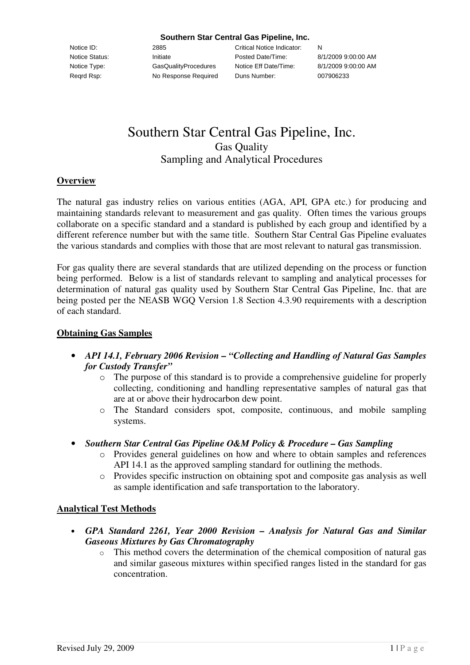#### **Southern Star Central Gas Pipeline, Inc.**

Notice ID: 2885 Critical Notice Indicator: N Notice Status: Initiate Initiate Posted Date/Time: 8/1/2009 9:00:00 AM Notice Type: GasQualityProcedures Notice Eff Date/Time: 8/1/2009 9:00:00 AM Reqrd Rsp: No Response Required Duns Number: 007906233

# Southern Star Central Gas Pipeline, Inc. Gas Quality Sampling and Analytical Procedures

#### **Overview**

The natural gas industry relies on various entities (AGA, API, GPA etc.) for producing and maintaining standards relevant to measurement and gas quality. Often times the various groups collaborate on a specific standard and a standard is published by each group and identified by a different reference number but with the same title. Southern Star Central Gas Pipeline evaluates the various standards and complies with those that are most relevant to natural gas transmission.

For gas quality there are several standards that are utilized depending on the process or function being performed. Below is a list of standards relevant to sampling and analytical processes for determination of natural gas quality used by Southern Star Central Gas Pipeline, Inc. that are being posted per the NEASB WGQ Version 1.8 Section 4.3.90 requirements with a description of each standard.

#### **Obtaining Gas Samples**

- *API 14.1, February 2006 Revision – "Collecting and Handling of Natural Gas Samples for Custody Transfer"*
	- o The purpose of this standard is to provide a comprehensive guideline for properly collecting, conditioning and handling representative samples of natural gas that are at or above their hydrocarbon dew point.
	- o The Standard considers spot, composite, continuous, and mobile sampling systems.
- *Southern Star Central Gas Pipeline O&M Policy & Procedure – Gas Sampling*
	- o Provides general guidelines on how and where to obtain samples and references API 14.1 as the approved sampling standard for outlining the methods.
	- o Provides specific instruction on obtaining spot and composite gas analysis as well as sample identification and safe transportation to the laboratory.

### **Analytical Test Methods**

- *GPA Standard 2261, Year 2000 Revision – Analysis for Natural Gas and Similar Gaseous Mixtures by Gas Chromatography*
	- o This method covers the determination of the chemical composition of natural gas and similar gaseous mixtures within specified ranges listed in the standard for gas concentration.